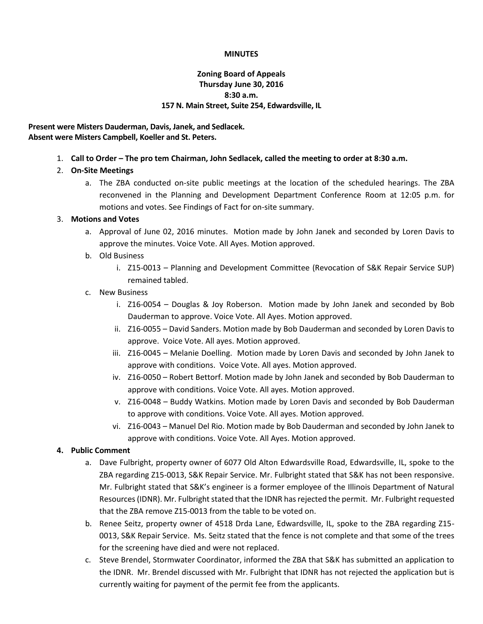### **MINUTES**

# **Zoning Board of Appeals Thursday June 30, 2016 8:30 a.m. 157 N. Main Street, Suite 254, Edwardsville, IL**

**Present were Misters Dauderman, Davis, Janek, and Sedlacek. Absent were Misters Campbell, Koeller and St. Peters.**

1. **Call to Order – The pro tem Chairman, John Sedlacek, called the meeting to order at 8:30 a.m.**

# 2. **On-Site Meetings**

a. The ZBA conducted on-site public meetings at the location of the scheduled hearings. The ZBA reconvened in the Planning and Development Department Conference Room at 12:05 p.m. for motions and votes. See Findings of Fact for on-site summary.

## 3. **Motions and Votes**

- a. Approval of June 02, 2016 minutes. Motion made by John Janek and seconded by Loren Davis to approve the minutes. Voice Vote. All Ayes. Motion approved.
- b. Old Business
	- i. Z15-0013 Planning and Development Committee (Revocation of S&K Repair Service SUP) remained tabled.

## c. New Business

- i. Z16-0054 Douglas & Joy Roberson. Motion made by John Janek and seconded by Bob Dauderman to approve. Voice Vote. All Ayes. Motion approved.
- ii. Z16-0055 David Sanders. Motion made by Bob Dauderman and seconded by Loren Davis to approve. Voice Vote. All ayes. Motion approved.
- iii. Z16-0045 Melanie Doelling. Motion made by Loren Davis and seconded by John Janek to approve with conditions. Voice Vote. All ayes. Motion approved.
- iv. Z16-0050 Robert Bettorf. Motion made by John Janek and seconded by Bob Dauderman to approve with conditions. Voice Vote. All ayes. Motion approved.
- v. Z16-0048 Buddy Watkins. Motion made by Loren Davis and seconded by Bob Dauderman to approve with conditions. Voice Vote. All ayes. Motion approved.
- vi. Z16-0043 Manuel Del Rio. Motion made by Bob Dauderman and seconded by John Janek to approve with conditions. Voice Vote. All Ayes. Motion approved.

# **4. Public Comment**

- a. Dave Fulbright, property owner of 6077 Old Alton Edwardsville Road, Edwardsville, IL, spoke to the ZBA regarding Z15-0013, S&K Repair Service. Mr. Fulbright stated that S&K has not been responsive. Mr. Fulbright stated that S&K's engineer is a former employee of the Illinois Department of Natural Resources (IDNR). Mr. Fulbright stated that the IDNR has rejected the permit. Mr. Fulbright requested that the ZBA remove Z15-0013 from the table to be voted on.
- b. Renee Seitz, property owner of 4518 Drda Lane, Edwardsville, IL, spoke to the ZBA regarding Z15- 0013, S&K Repair Service. Ms. Seitz stated that the fence is not complete and that some of the trees for the screening have died and were not replaced.
- c. Steve Brendel, Stormwater Coordinator, informed the ZBA that S&K has submitted an application to the IDNR. Mr. Brendel discussed with Mr. Fulbright that IDNR has not rejected the application but is currently waiting for payment of the permit fee from the applicants.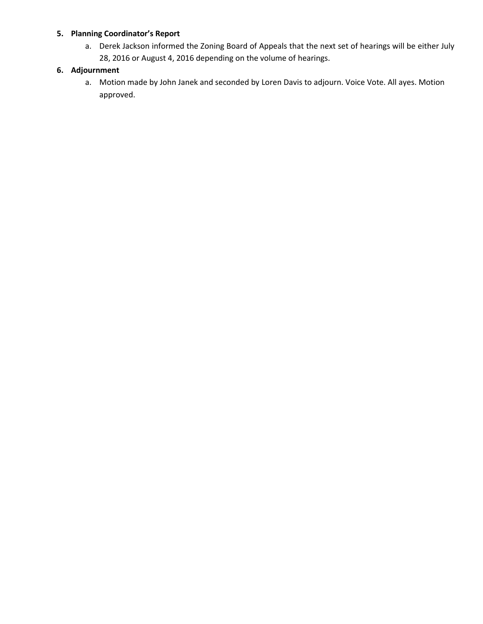## **5. Planning Coordinator's Report**

a. Derek Jackson informed the Zoning Board of Appeals that the next set of hearings will be either July 28, 2016 or August 4, 2016 depending on the volume of hearings.

# **6. Adjournment**

a. Motion made by John Janek and seconded by Loren Davis to adjourn. Voice Vote. All ayes. Motion approved.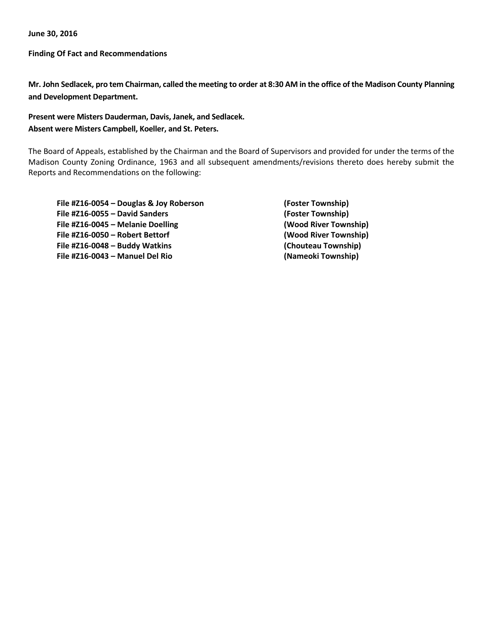**June 30, 2016**

**Finding Of Fact and Recommendations**

**Mr. John Sedlacek, pro tem Chairman, called the meeting to order at 8:30 AM in the office of the Madison County Planning and Development Department.**

# **Present were Misters Dauderman, Davis, Janek, and Sedlacek. Absent were Misters Campbell, Koeller, and St. Peters.**

The Board of Appeals, established by the Chairman and the Board of Supervisors and provided for under the terms of the Madison County Zoning Ordinance, 1963 and all subsequent amendments/revisions thereto does hereby submit the Reports and Recommendations on the following:

| File #Z16-0054 - Douglas & Joy Roberson<br>File #Z16-0055 - David Sanders | (Foster Township)<br>(Foster Township)       |
|---------------------------------------------------------------------------|----------------------------------------------|
|                                                                           |                                              |
| File #Z16-0050 - Robert Bettorf<br>File #Z16-0048 - Buddy Watkins         | (Wood River Township)<br>(Chouteau Township) |
|                                                                           |                                              |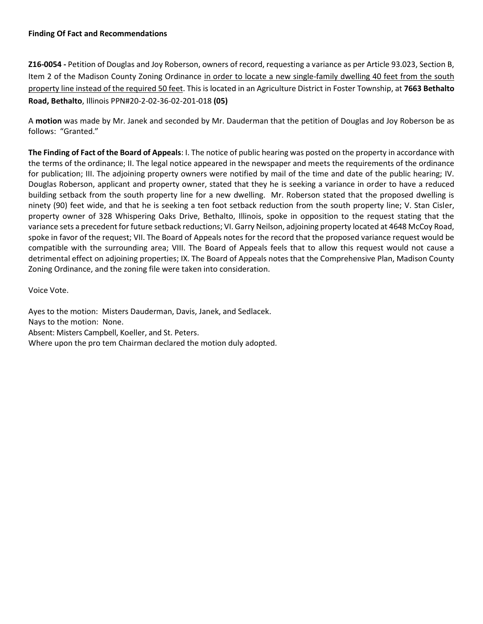**Z16-0054 -** Petition of Douglas and Joy Roberson, owners of record, requesting a variance as per Article 93.023, Section B, Item 2 of the Madison County Zoning Ordinance in order to locate a new single-family dwelling 40 feet from the south property line instead of the required 50 feet. This is located in an Agriculture District in Foster Township, at **7663 Bethalto Road, Bethalto**, Illinois PPN#20-2-02-36-02-201-018 **(05)**

A **motion** was made by Mr. Janek and seconded by Mr. Dauderman that the petition of Douglas and Joy Roberson be as follows: "Granted."

**The Finding of Fact of the Board of Appeals**: I. The notice of public hearing was posted on the property in accordance with the terms of the ordinance; II. The legal notice appeared in the newspaper and meets the requirements of the ordinance for publication; III. The adjoining property owners were notified by mail of the time and date of the public hearing; IV. Douglas Roberson, applicant and property owner, stated that they he is seeking a variance in order to have a reduced building setback from the south property line for a new dwelling. Mr. Roberson stated that the proposed dwelling is ninety (90) feet wide, and that he is seeking a ten foot setback reduction from the south property line; V. Stan Cisler, property owner of 328 Whispering Oaks Drive, Bethalto, Illinois, spoke in opposition to the request stating that the variance sets a precedent for future setback reductions; VI. Garry Neilson, adjoining property located at 4648 McCoy Road, spoke in favor of the request; VII. The Board of Appeals notes for the record that the proposed variance request would be compatible with the surrounding area; VIII. The Board of Appeals feels that to allow this request would not cause a detrimental effect on adjoining properties; IX. The Board of Appeals notes that the Comprehensive Plan, Madison County Zoning Ordinance, and the zoning file were taken into consideration.

Voice Vote.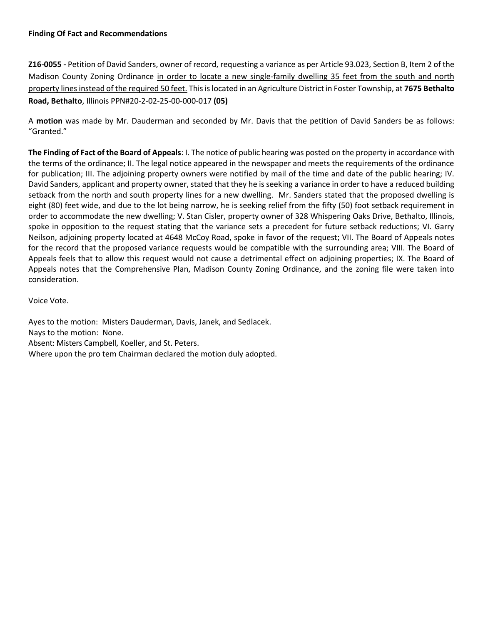**Z16-0055 -** Petition of David Sanders, owner of record, requesting a variance as per Article 93.023, Section B, Item 2 of the Madison County Zoning Ordinance in order to locate a new single-family dwelling 35 feet from the south and north property lines instead of the required 50 feet. This is located in an Agriculture District in Foster Township, at **7675 Bethalto Road, Bethalto**, Illinois PPN#20-2-02-25-00-000-017 **(05)**

A **motion** was made by Mr. Dauderman and seconded by Mr. Davis that the petition of David Sanders be as follows: "Granted."

**The Finding of Fact of the Board of Appeals**: I. The notice of public hearing was posted on the property in accordance with the terms of the ordinance; II. The legal notice appeared in the newspaper and meets the requirements of the ordinance for publication; III. The adjoining property owners were notified by mail of the time and date of the public hearing; IV. David Sanders, applicant and property owner, stated that they he is seeking a variance in order to have a reduced building setback from the north and south property lines for a new dwelling. Mr. Sanders stated that the proposed dwelling is eight (80) feet wide, and due to the lot being narrow, he is seeking relief from the fifty (50) foot setback requirement in order to accommodate the new dwelling; V. Stan Cisler, property owner of 328 Whispering Oaks Drive, Bethalto, Illinois, spoke in opposition to the request stating that the variance sets a precedent for future setback reductions; VI. Garry Neilson, adjoining property located at 4648 McCoy Road, spoke in favor of the request; VII. The Board of Appeals notes for the record that the proposed variance requests would be compatible with the surrounding area; VIII. The Board of Appeals feels that to allow this request would not cause a detrimental effect on adjoining properties; IX. The Board of Appeals notes that the Comprehensive Plan, Madison County Zoning Ordinance, and the zoning file were taken into consideration.

Voice Vote.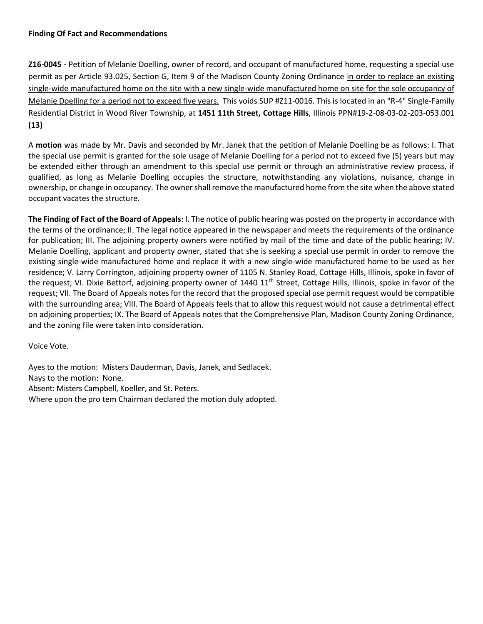**Z16-0045 -** Petition of Melanie Doelling, owner of record, and occupant of manufactured home, requesting a special use permit as per Article 93.025, Section G, Item 9 of the Madison County Zoning Ordinance in order to replace an existing single-wide manufactured home on the site with a new single-wide manufactured home on site for the sole occupancy of Melanie Doelling for a period not to exceed five years. This voids SUP #Z11-0016. This is located in an "R-4" Single-Family Residential District in Wood River Township, at **1451 11th Street, Cottage Hills**, Illinois PPN#19-2-08-03-02-203-053.001 **(13)**

A **motion** was made by Mr. Davis and seconded by Mr. Janek that the petition of Melanie Doelling be as follows: I. That the special use permit is granted for the sole usage of Melanie Doelling for a period not to exceed five (5) years but may be extended either through an amendment to this special use permit or through an administrative review process, if qualified, as long as Melanie Doelling occupies the structure, notwithstanding any violations, nuisance, change in ownership, or change in occupancy. The owner shall remove the manufactured home from the site when the above stated occupant vacates the structure.

**The Finding of Fact of the Board of Appeals**: I. The notice of public hearing was posted on the property in accordance with the terms of the ordinance; II. The legal notice appeared in the newspaper and meets the requirements of the ordinance for publication; III. The adjoining property owners were notified by mail of the time and date of the public hearing; IV. Melanie Doelling, applicant and property owner, stated that she is seeking a special use permit in order to remove the existing single-wide manufactured home and replace it with a new single-wide manufactured home to be used as her residence; V. Larry Corrington, adjoining property owner of 1105 N. Stanley Road, Cottage Hills, Illinois, spoke in favor of the request; VI. Dixie Bettorf, adjoining property owner of 1440 11<sup>th</sup> Street, Cottage Hills, Illinois, spoke in favor of the request; VII. The Board of Appeals notes for the record that the proposed special use permit request would be compatible with the surrounding area; VIII. The Board of Appeals feels that to allow this request would not cause a detrimental effect on adjoining properties; IX. The Board of Appeals notes that the Comprehensive Plan, Madison County Zoning Ordinance, and the zoning file were taken into consideration.

Voice Vote.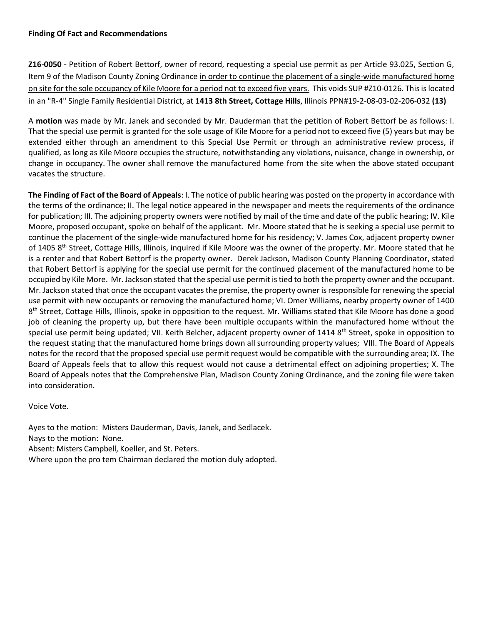**Z16-0050 -** Petition of Robert Bettorf, owner of record, requesting a special use permit as per Article 93.025, Section G, Item 9 of the Madison County Zoning Ordinance in order to continue the placement of a single-wide manufactured home on site for the sole occupancy of Kile Moore for a period not to exceed five years. This voids SUP #Z10-0126. This is located in an "R-4" Single Family Residential District, at **1413 8th Street, Cottage Hills**, Illinois PPN#19-2-08-03-02-206-032 **(13)**

A **motion** was made by Mr. Janek and seconded by Mr. Dauderman that the petition of Robert Bettorf be as follows: I. That the special use permit is granted for the sole usage of Kile Moore for a period not to exceed five (5) years but may be extended either through an amendment to this Special Use Permit or through an administrative review process, if qualified, as long as Kile Moore occupies the structure, notwithstanding any violations, nuisance, change in ownership, or change in occupancy. The owner shall remove the manufactured home from the site when the above stated occupant vacates the structure.

**The Finding of Fact of the Board of Appeals**: I. The notice of public hearing was posted on the property in accordance with the terms of the ordinance; II. The legal notice appeared in the newspaper and meets the requirements of the ordinance for publication; III. The adjoining property owners were notified by mail of the time and date of the public hearing; IV. Kile Moore, proposed occupant, spoke on behalf of the applicant. Mr. Moore stated that he is seeking a special use permit to continue the placement of the single-wide manufactured home for his residency; V. James Cox, adjacent property owner of 1405 8<sup>th</sup> Street, Cottage Hills, Illinois, inquired if Kile Moore was the owner of the property. Mr. Moore stated that he is a renter and that Robert Bettorf is the property owner. Derek Jackson, Madison County Planning Coordinator, stated that Robert Bettorf is applying for the special use permit for the continued placement of the manufactured home to be occupied by Kile More. Mr. Jackson stated that the special use permit is tied to both the property owner and the occupant. Mr. Jackson stated that once the occupant vacates the premise, the property owner is responsible for renewing the special use permit with new occupants or removing the manufactured home; VI. Omer Williams, nearby property owner of 1400 8<sup>th</sup> Street, Cottage Hills, Illinois, spoke in opposition to the request. Mr. Williams stated that Kile Moore has done a good job of cleaning the property up, but there have been multiple occupants within the manufactured home without the special use permit being updated; VII. Keith Belcher, adjacent property owner of 1414 8<sup>th</sup> Street, spoke in opposition to the request stating that the manufactured home brings down all surrounding property values; VIII. The Board of Appeals notes for the record that the proposed special use permit request would be compatible with the surrounding area; IX. The Board of Appeals feels that to allow this request would not cause a detrimental effect on adjoining properties; X. The Board of Appeals notes that the Comprehensive Plan, Madison County Zoning Ordinance, and the zoning file were taken into consideration.

Voice Vote.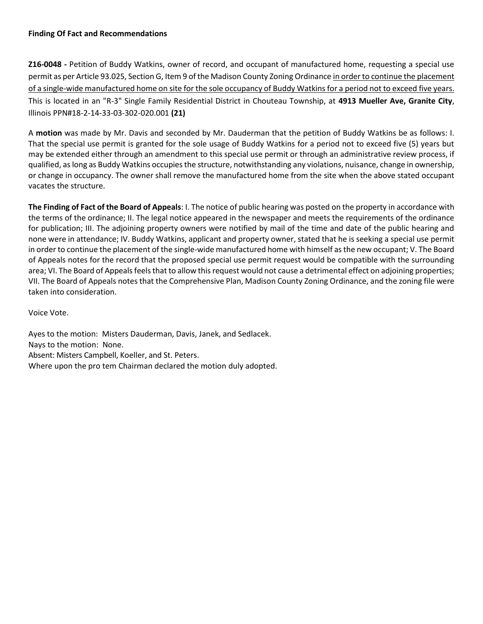**Z16-0048 -** Petition of Buddy Watkins, owner of record, and occupant of manufactured home, requesting a special use permit as per Article 93.025, Section G, Item 9 of the Madison County Zoning Ordinance in order to continue the placement of a single-wide manufactured home on site for the sole occupancy of Buddy Watkins for a period not to exceed five years. This is located in an "R-3" Single Family Residential District in Chouteau Township, at **4913 Mueller Ave, Granite City**, Illinois PPN#18-2-14-33-03-302-020.001 **(21)**

A **motion** was made by Mr. Davis and seconded by Mr. Dauderman that the petition of Buddy Watkins be as follows: I. That the special use permit is granted for the sole usage of Buddy Watkins for a period not to exceed five (5) years but may be extended either through an amendment to this special use permit or through an administrative review process, if qualified, as long as Buddy Watkins occupies the structure, notwithstanding any violations, nuisance, change in ownership, or change in occupancy. The owner shall remove the manufactured home from the site when the above stated occupant vacates the structure.

**The Finding of Fact of the Board of Appeals**: I. The notice of public hearing was posted on the property in accordance with the terms of the ordinance; II. The legal notice appeared in the newspaper and meets the requirements of the ordinance for publication; III. The adjoining property owners were notified by mail of the time and date of the public hearing and none were in attendance; IV. Buddy Watkins, applicant and property owner, stated that he is seeking a special use permit in order to continue the placement of the single-wide manufactured home with himself as the new occupant; V. The Board of Appeals notes for the record that the proposed special use permit request would be compatible with the surrounding area; VI. The Board of Appeals feels that to allow this request would not cause a detrimental effect on adjoining properties; VII. The Board of Appeals notes that the Comprehensive Plan, Madison County Zoning Ordinance, and the zoning file were taken into consideration.

Voice Vote.